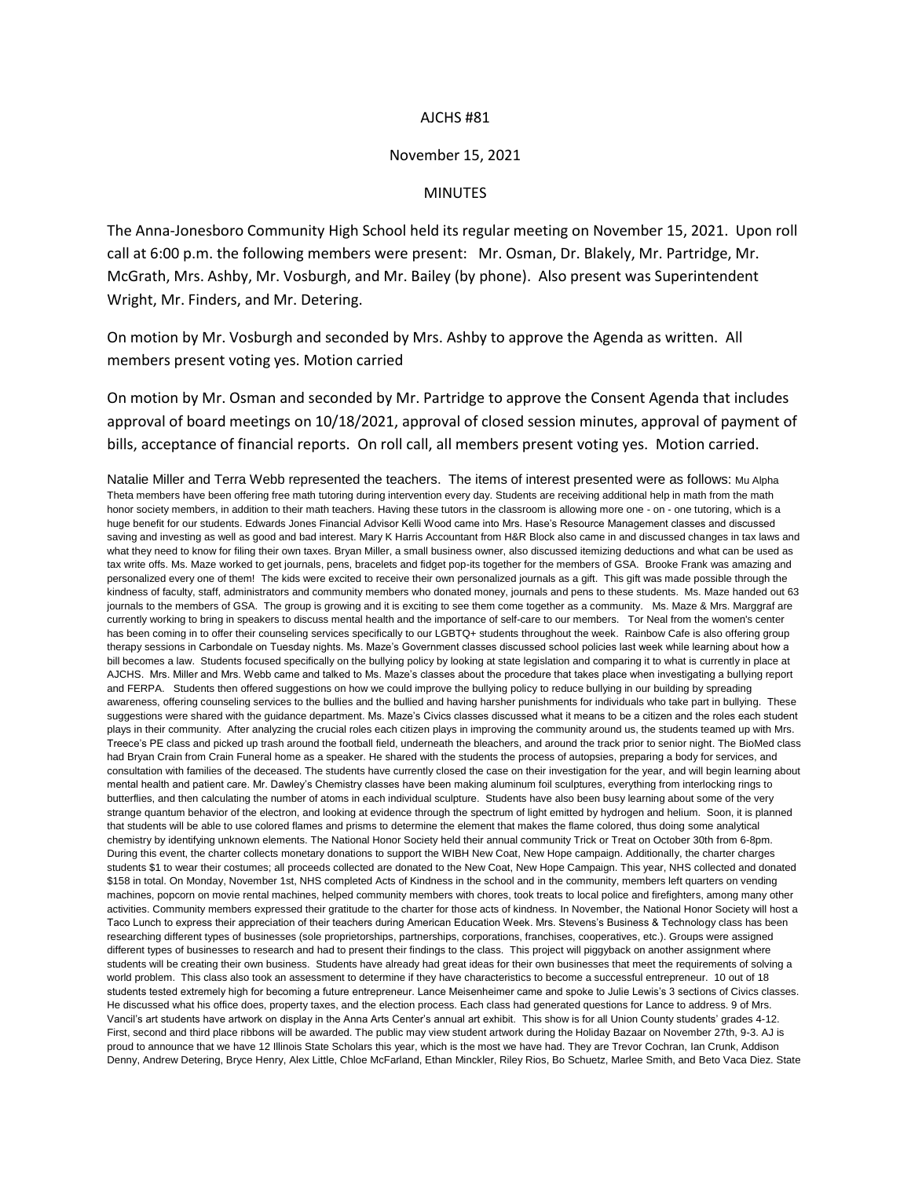## AJCHS #81

## November 15, 2021

## MINUTES

The Anna-Jonesboro Community High School held its regular meeting on November 15, 2021. Upon roll call at 6:00 p.m. the following members were present: Mr. Osman, Dr. Blakely, Mr. Partridge, Mr. McGrath, Mrs. Ashby, Mr. Vosburgh, and Mr. Bailey (by phone). Also present was Superintendent Wright, Mr. Finders, and Mr. Detering.

On motion by Mr. Vosburgh and seconded by Mrs. Ashby to approve the Agenda as written. All members present voting yes. Motion carried

On motion by Mr. Osman and seconded by Mr. Partridge to approve the Consent Agenda that includes approval of board meetings on 10/18/2021, approval of closed session minutes, approval of payment of bills, acceptance of financial reports. On roll call, all members present voting yes. Motion carried.

Natalie Miller and Terra Webb represented the teachers. The items of interest presented were as follows: Mu Alpha Theta members have been offering free math tutoring during intervention every day. Students are receiving additional help in math from the math honor society members, in addition to their math teachers. Having these tutors in the classroom is allowing more one - on - one tutoring, which is a huge benefit for our students. Edwards Jones Financial Advisor Kelli Wood came into Mrs. Hase's Resource Management classes and discussed saving and investing as well as good and bad interest. Mary K Harris Accountant from H&R Block also came in and discussed changes in tax laws and what they need to know for filing their own taxes. Bryan Miller, a small business owner, also discussed itemizing deductions and what can be used as tax write offs. Ms. Maze worked to get journals, pens, bracelets and fidget pop-its together for the members of GSA. Brooke Frank was amazing and personalized every one of them! The kids were excited to receive their own personalized journals as a gift. This gift was made possible through the kindness of faculty, staff, administrators and community members who donated money, journals and pens to these students. Ms. Maze handed out 63 journals to the members of GSA. The group is growing and it is exciting to see them come together as a community. Ms. Maze & Mrs. Marggraf are currently working to bring in speakers to discuss mental health and the importance of self-care to our members. Tor Neal from the women's center has been coming in to offer their counseling services specifically to our LGBTQ+ students throughout the week. Rainbow Cafe is also offering group therapy sessions in Carbondale on Tuesday nights. Ms. Maze's Government classes discussed school policies last week while learning about how a bill becomes a law. Students focused specifically on the bullying policy by looking at state legislation and comparing it to what is currently in place at AJCHS. Mrs. Miller and Mrs. Webb came and talked to Ms. Maze's classes about the procedure that takes place when investigating a bullying report and FERPA. Students then offered suggestions on how we could improve the bullying policy to reduce bullying in our building by spreading awareness, offering counseling services to the bullies and the bullied and having harsher punishments for individuals who take part in bullying. These suggestions were shared with the guidance department. Ms. Maze's Civics classes discussed what it means to be a citizen and the roles each student plays in their community. After analyzing the crucial roles each citizen plays in improving the community around us, the students teamed up with Mrs. Treece's PE class and picked up trash around the football field, underneath the bleachers, and around the track prior to senior night. The BioMed class had Bryan Crain from Crain Funeral home as a speaker. He shared with the students the process of autopsies, preparing a body for services, and consultation with families of the deceased. The students have currently closed the case on their investigation for the year, and will begin learning about mental health and patient care. Mr. Dawley's Chemistry classes have been making aluminum foil sculptures, everything from interlocking rings to butterflies, and then calculating the number of atoms in each individual sculpture. Students have also been busy learning about some of the very strange quantum behavior of the electron, and looking at evidence through the spectrum of light emitted by hydrogen and helium. Soon, it is planned that students will be able to use colored flames and prisms to determine the element that makes the flame colored, thus doing some analytical chemistry by identifying unknown elements. The National Honor Society held their annual community Trick or Treat on October 30th from 6-8pm. During this event, the charter collects monetary donations to support the WIBH New Coat, New Hope campaign. Additionally, the charter charges students \$1 to wear their costumes; all proceeds collected are donated to the New Coat, New Hope Campaign. This year, NHS collected and donated \$158 in total. On Monday, November 1st, NHS completed Acts of Kindness in the school and in the community, members left quarters on vending machines, popcorn on movie rental machines, helped community members with chores, took treats to local police and firefighters, among many other activities. Community members expressed their gratitude to the charter for those acts of kindness. In November, the National Honor Society will host a Taco Lunch to express their appreciation of their teachers during American Education Week. Mrs. Stevens's Business & Technology class has been researching different types of businesses (sole proprietorships, partnerships, corporations, franchises, cooperatives, etc.). Groups were assigned different types of businesses to research and had to present their findings to the class. This project will piggyback on another assignment where students will be creating their own business. Students have already had great ideas for their own businesses that meet the requirements of solving a world problem. This class also took an assessment to determine if they have characteristics to become a successful entrepreneur. 10 out of 18 students tested extremely high for becoming a future entrepreneur. Lance Meisenheimer came and spoke to Julie Lewis's 3 sections of Civics classes. He discussed what his office does, property taxes, and the election process. Each class had generated questions for Lance to address. 9 of Mrs. Vancil's art students have artwork on display in the Anna Arts Center's annual art exhibit. This show is for all Union County students' grades 4-12. First, second and third place ribbons will be awarded. The public may view student artwork during the Holiday Bazaar on November 27th, 9-3. AJ is proud to announce that we have 12 Illinois State Scholars this year, which is the most we have had. They are Trevor Cochran, Ian Crunk, Addison Denny, Andrew Detering, Bryce Henry, Alex Little, Chloe McFarland, Ethan Minckler, Riley Rios, Bo Schuetz, Marlee Smith, and Beto Vaca Diez. State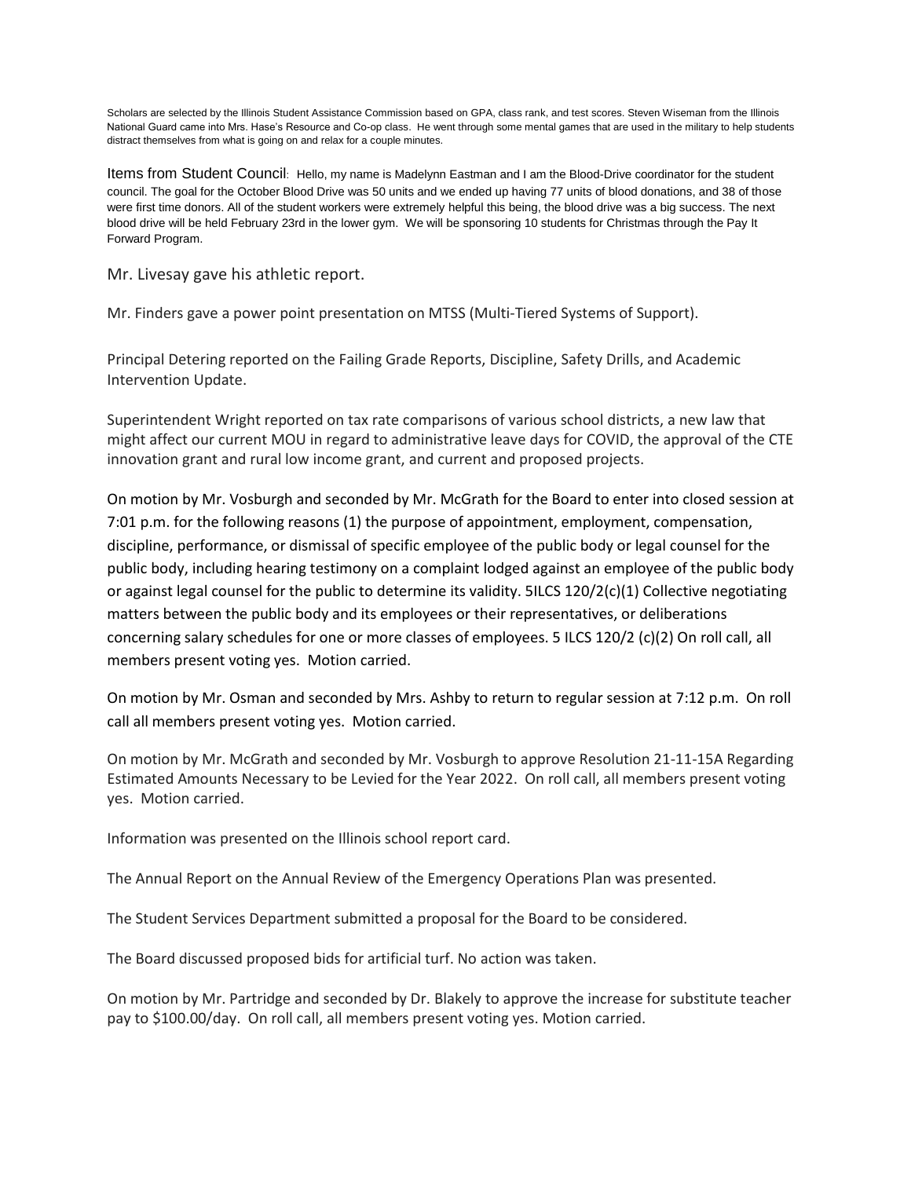Scholars are selected by the Illinois Student Assistance Commission based on GPA, class rank, and test scores. Steven Wiseman from the Illinois National Guard came into Mrs. Hase's Resource and Co-op class. He went through some mental games that are used in the military to help students distract themselves from what is going on and relax for a couple minutes.

Items from Student Council: Hello, my name is Madelynn Eastman and I am the Blood-Drive coordinator for the student council. The goal for the October Blood Drive was 50 units and we ended up having 77 units of blood donations, and 38 of those were first time donors. All of the student workers were extremely helpful this being, the blood drive was a big success. The next blood drive will be held February 23rd in the lower gym. We will be sponsoring 10 students for Christmas through the Pay It Forward Program.

Mr. Livesay gave his athletic report.

Mr. Finders gave a power point presentation on MTSS (Multi-Tiered Systems of Support).

Principal Detering reported on the Failing Grade Reports, Discipline, Safety Drills, and Academic Intervention Update.

Superintendent Wright reported on tax rate comparisons of various school districts, a new law that might affect our current MOU in regard to administrative leave days for COVID, the approval of the CTE innovation grant and rural low income grant, and current and proposed projects.

On motion by Mr. Vosburgh and seconded by Mr. McGrath for the Board to enter into closed session at 7:01 p.m. for the following reasons (1) the purpose of appointment, employment, compensation, discipline, performance, or dismissal of specific employee of the public body or legal counsel for the public body, including hearing testimony on a complaint lodged against an employee of the public body or against legal counsel for the public to determine its validity. 5ILCS 120/2(c)(1) Collective negotiating matters between the public body and its employees or their representatives, or deliberations concerning salary schedules for one or more classes of employees. 5 ILCS 120/2 (c)(2) On roll call, all members present voting yes. Motion carried.

On motion by Mr. Osman and seconded by Mrs. Ashby to return to regular session at 7:12 p.m. On roll call all members present voting yes. Motion carried.

On motion by Mr. McGrath and seconded by Mr. Vosburgh to approve Resolution 21-11-15A Regarding Estimated Amounts Necessary to be Levied for the Year 2022. On roll call, all members present voting yes. Motion carried.

Information was presented on the Illinois school report card.

The Annual Report on the Annual Review of the Emergency Operations Plan was presented.

The Student Services Department submitted a proposal for the Board to be considered.

The Board discussed proposed bids for artificial turf. No action was taken.

On motion by Mr. Partridge and seconded by Dr. Blakely to approve the increase for substitute teacher pay to \$100.00/day. On roll call, all members present voting yes. Motion carried.